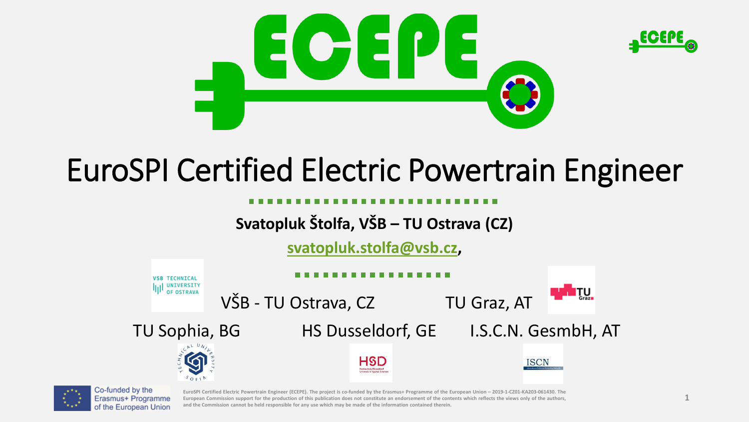

# EuroSPI Certified Electric Powertrain Engineer

### **Svatopluk Štolfa, VŠB – TU Ostrava (CZ)**

**[svatopluk.stolfa@vsb.cz,](mailto:svatopluk.stolfa@vsb.cz)** 





EuroSPI Certified Electric Powertrain Engineer (ECEPE). The project is co-funded by the Erasmus+ Programme of the European Union - 2019-1-CZ01-KA203-061430. The European Commission support for the production of this publication does not constitute an endorsement of the contents which reflects the views only of the authors, and the Commission cannot be held responsible for any use which may be made of the information contained therein.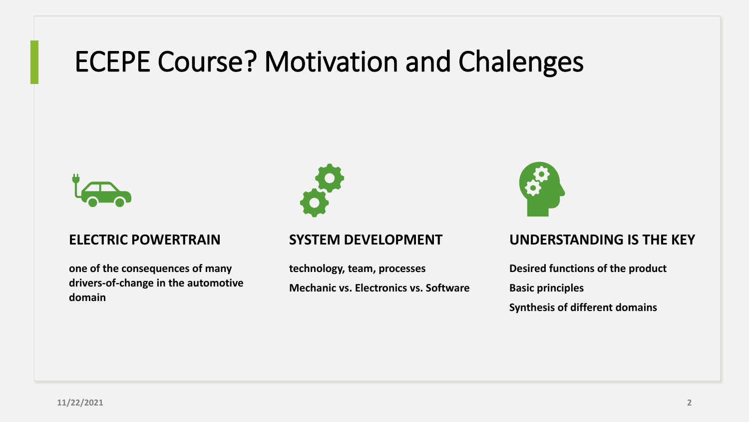## ECEPE Course? Motivation and Chalenges



#### **ELECTRIC POWERTRAIN**

**one of the consequences of many drivers-of-change in the automotive domain**



#### **SYSTEM DEVELOPMENT**

**technology, team, processes Mechanic vs. Electronics vs. Software**



#### **UNDERSTANDING IS THE KEY**

**Desired functions of the product Basic principles Synthesis of different domains**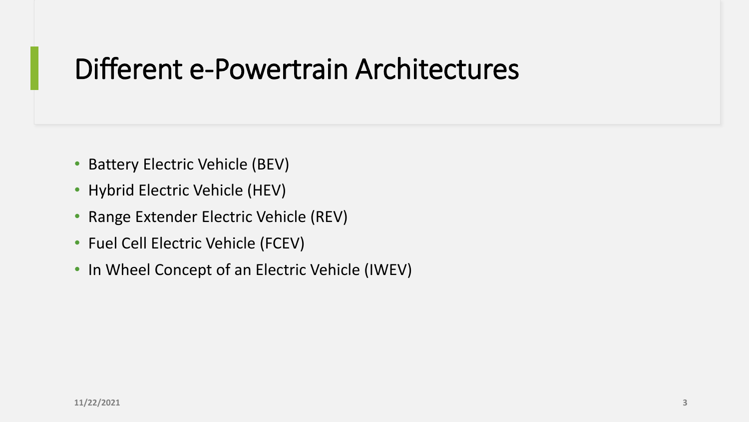## Different e-Powertrain Architectures

- Battery Electric Vehicle (BEV)
- Hybrid Electric Vehicle (HEV)
- Range Extender Electric Vehicle (REV)
- Fuel Cell Electric Vehicle (FCEV)
- In Wheel Concept of an Electric Vehicle (IWEV)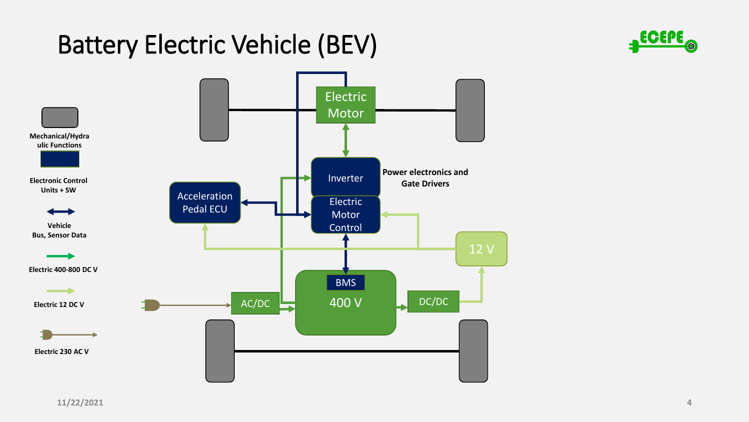## Battery Electric Vehicle (BEV)



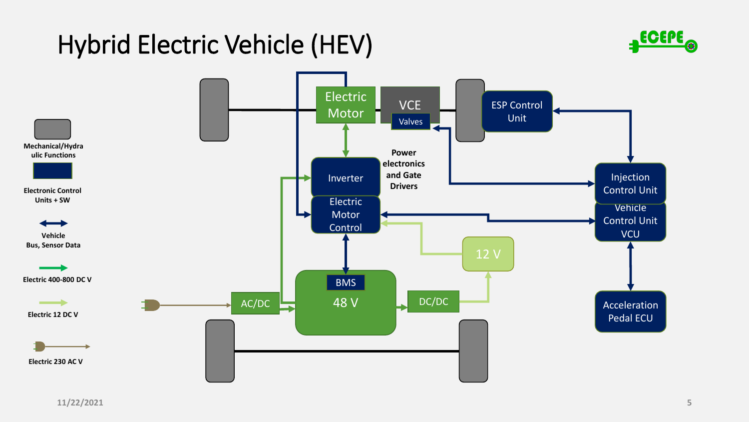## Hybrid Electric Vehicle (HEV)



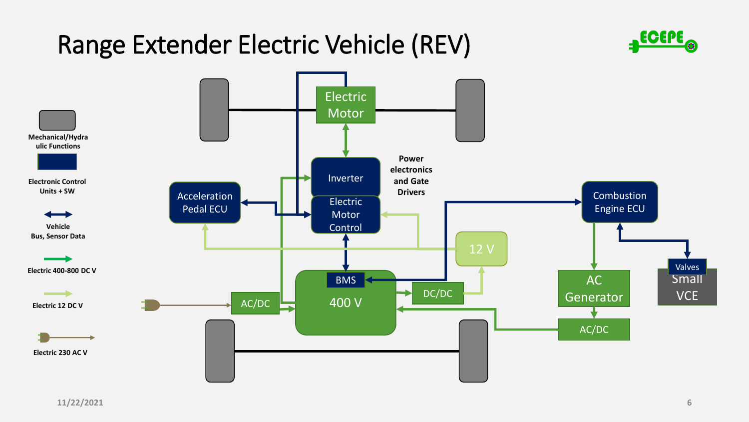## Range Extender Electric Vehicle (REV)



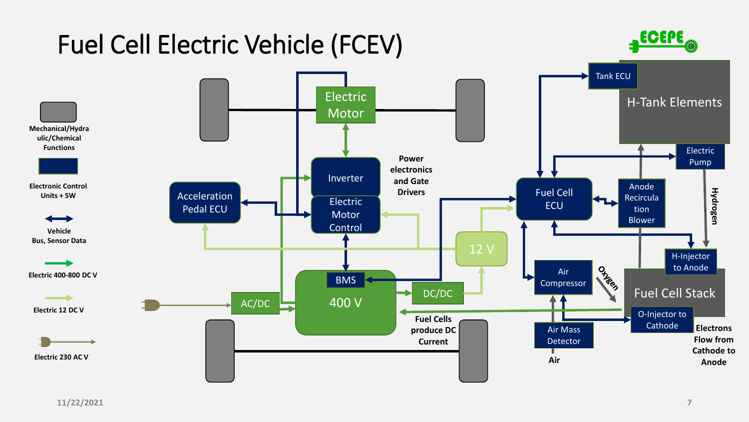

#### **11/22/2021 7**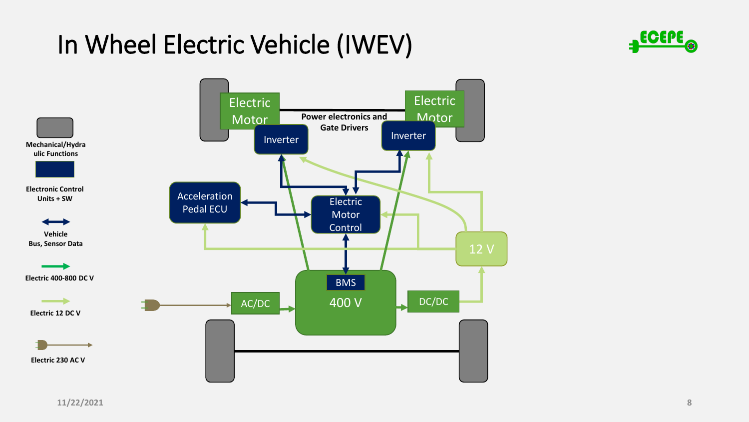## In Wheel Electric Vehicle (IWEV)



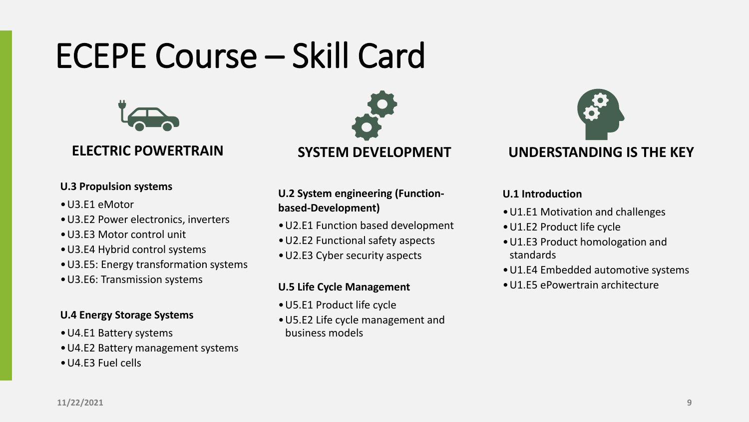# ECEPE Course – Skill Card



### **ELECTRIC POWERTRAIN**

#### **U.3 Propulsion systems**

- •U3.E1 eMotor
- •U3.E2 Power electronics, inverters
- •U3.E3 Motor control unit
- •U3.E4 Hybrid control systems
- •U3.E5: Energy transformation systems
- •U3.E6: Transmission systems

#### **U.4 Energy Storage Systems**

- •U4.E1 Battery systems
- •U4.E2 Battery management systems
- •U4.E3 Fuel cells



**U.2 System engineering (Functionbased-Development)**

- •U2.E1 Function based development
- •U2.E2 Functional safety aspects
- •U2.E3 Cyber security aspects

#### **U.5 Life Cycle Management**

- •U5.E1 Product life cycle
- •U5.E2 Life cycle management and business models



### **UNDERSTANDING IS THE KEY**

#### **U.1 Introduction**

- •U1.E1 Motivation and challenges
- •U1.E2 Product life cycle
- •U1.E3 Product homologation and standards
- •U1.E4 Embedded automotive systems
- •U1.E5 ePowertrain architecture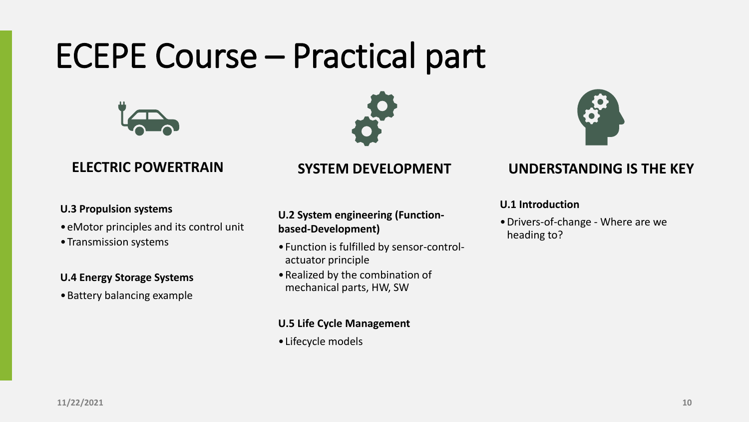# ECEPE Course – Practical part







### **ELECTRIC POWERTRAIN**

#### **U.3 Propulsion systems**

- •eMotor principles and its control unit
- •Transmission systems

#### **U.4 Energy Storage Systems**

•Battery balancing example

### **SYSTEM DEVELOPMENT**

**U.2 System engineering (Functionbased-Development)**

- •Function is fulfilled by sensor-controlactuator principle
- •Realized by the combination of mechanical parts, HW, SW

#### **U.5 Life Cycle Management**

•Lifecycle models

### **UNDERSTANDING IS THE KEY**

#### **U.1 Introduction**

•Drivers-of-change - Where are we heading to?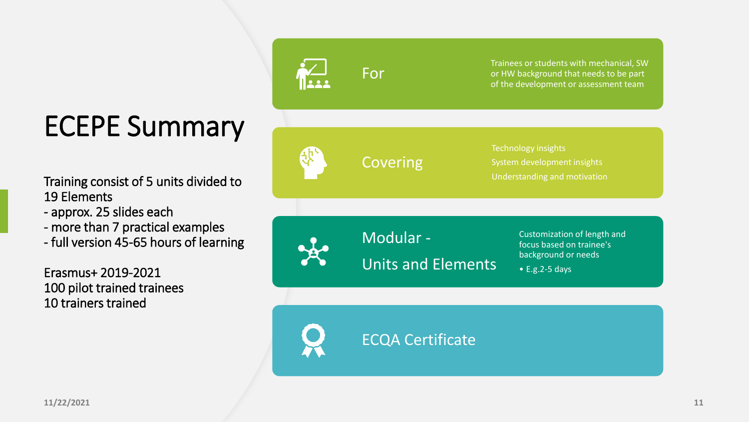# ECEPE Summary

Training consist of 5 units divided to 19 Elements

- approx. 25 slides each
- more than 7 practical examples
- full version 45-65 hours of learning

Erasmus+ 2019-2021 100 pilot trained trainees 10 trainers trained



**For** 

Trainees or students with mechanical, SW or HW background that needs to be part of the development or assessment team

Covering

Technology insights System development insights Understanding and motivation

Modular - Units and Elements Customization of length and focus based on trainee's background or needs

• E.g.2-5 days

ECQA Certificate